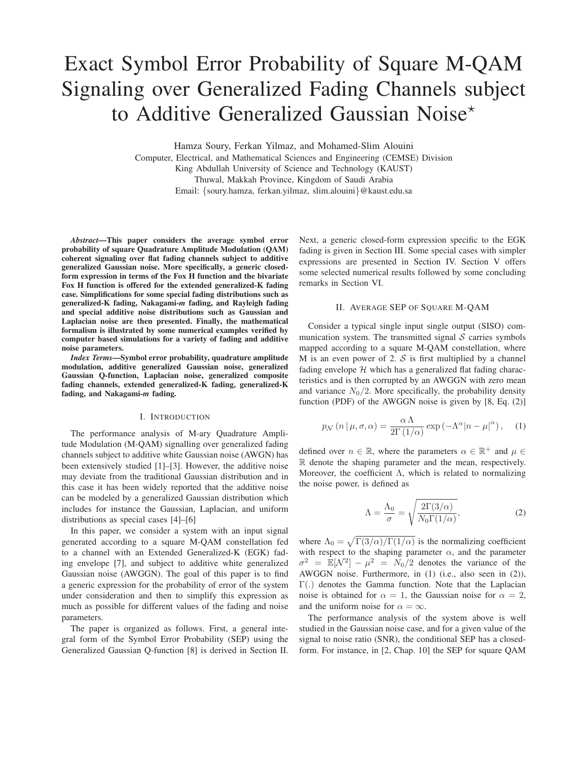# Exact Symbol Error Probability of Square M-QAM Signaling over Generalized Fading Channels subject to Additive Generalized Gaussian Noise\*

Hamza Soury, Ferkan Yilmaz, and Mohamed-Slim Alouini

Computer, Electrical, and Mathematical Sciences and Engineering (CEMSE) Division King Abdullah University of Science and Technology (KAUST) Thuwal, Makkah Province, Kingdom of Saudi Arabia Email: {soury.hamza, ferkan.yilmaz, slim.alouini}@kaust.edu.sa

*Abstract*—This paper considers the average symbol error probability of square Quadrature Amplitude Modulation (QAM) coherent signaling over flat fading channels subject to additive generalized Gaussian noise. More specifically, a generic closedform expression in terms of the Fox H function and the bivariate Fox H function is offered for the extended generalized-K fading case. Simplifications for some special fading distributions such as generalized-K fading, Nakagami-*m* fading, and Rayleigh fading and special additive noise distributions such as Gaussian and Laplacian noise are then presented. Finally, the mathematical formalism is illustrated by some numerical examples verified by computer based simulations for a variety of fading and additive noise parameters.

*Index Terms*—Symbol error probability, quadrature amplitude modulation, additive generalized Gaussian noise, generalized Gaussian Q-function, Laplacian noise, generalized composite fading channels, extended generalized-K fading, generalized-K fading, and Nakagami-*m* fading.

# I. INTRODUCTION

The performance analysis of M-ary Quadrature Amplitude Modulation (M-QAM) signalling over generalized fading channels subject to additive white Gaussian noise (AWGN) has been extensively studied [1]–[3]. However, the additive noise may deviate from the traditional Gaussian distribution and in this case it has been widely reported that the additive noise can be modeled by a generalized Gaussian distribution which includes for instance the Gaussian, Laplacian, and uniform distributions as special cases [4]–[6]

In this paper, we consider a system with an input signal generated according to a square M-QAM constellation fed to a channel with an Extended Generalized-K (EGK) fading envelope [7], and subject to additive white generalized Gaussian noise (AWGGN). The goal of this paper is to find a generic expression for the probability of error of the system under consideration and then to simplify this expression as much as possible for different values of the fading and noise parameters.

The paper is organized as follows. First, a general integral form of the Symbol Error Probability (SEP) using the Generalized Gaussian Q-function [8] is derived in Section II. Next, a generic closed-form expression specific to the EGK fading is given in Section III. Some special cases with simpler expressions are presented in Section IV. Section V offers some selected numerical results followed by some concluding remarks in Section VI.

## II. AVERAGE SEP OF SOUARE M-QAM

Consider a typical single input single output (SISO) communication system. The transmitted signal  $S$  carries symbols mapped according to a square M-QAM constellation, where M is an even power of 2.  $S$  is first multiplied by a channel fading envelope  $H$  which has a generalized flat fading characteristics and is then corrupted by an AWGGN with zero mean and variance  $N_0/2$ . More specifically, the probability density function (PDF) of the AWGGN noise is given by [8, Eq. (2)]

$$
p_{\mathcal{N}}\left(n\,|\,\mu,\sigma,\alpha\right) = \frac{\alpha\,\Lambda}{2\Gamma\left(1/\alpha\right)}\exp\left(-\Lambda^{\alpha}|n-\mu|^{\alpha}\right),\quad(1)
$$

defined over  $n \in \mathbb{R}$ , where the parameters  $\alpha \in \mathbb{R}^+$  and  $\mu \in$ R denote the shaping parameter and the mean, respectively. Moreover, the coefficient Λ, which is related to normalizing the noise power, is defined as

$$
\Lambda = \frac{\Lambda_0}{\sigma} = \sqrt{\frac{2\Gamma(3/\alpha)}{N_0\Gamma(1/\alpha)}},\tag{2}
$$

where  $\Lambda_0 = \sqrt{\Gamma(3/\alpha)/\Gamma(1/\alpha)}$  is the normalizing coefficient with respect to the shaping parameter  $\alpha$ , and the parameter  $\sigma^2 = \mathbb{E}[\mathcal{N}^2] - \mu^2 = N_0/2$  denotes the variance of the AWGGN noise. Furthermore, in (1) (i.e., also seen in (2)), Γ(.) denotes the Gamma function. Note that the Laplacian noise is obtained for  $\alpha = 1$ , the Gaussian noise for  $\alpha = 2$ , and the uniform noise for  $\alpha = \infty$ .

The performance analysis of the system above is well studied in the Gaussian noise case, and for a given value of the signal to noise ratio (SNR), the conditional SEP has a closedform. For instance, in [2, Chap. 10] the SEP for square QAM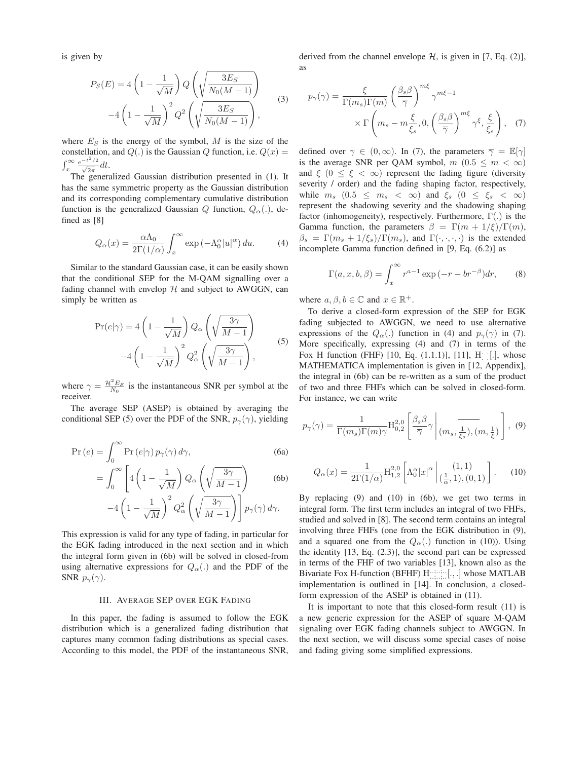is given by

$$
P_S(E) = 4\left(1 - \frac{1}{\sqrt{M}}\right) Q\left(\sqrt{\frac{3E_S}{N_0(M-1)}}\right)
$$

$$
-4\left(1 - \frac{1}{\sqrt{M}}\right)^2 Q^2\left(\sqrt{\frac{3E_S}{N_0(M-1)}}\right),
$$
(3)

where  $E<sub>S</sub>$  is the energy of the symbol, M is the size of the constellation, and  $Q(.)$  is the Gaussian Q function, i.e.  $Q(x) =$  $\int_x^{\infty} \frac{e^{-t^2/2}}{\sqrt{2\pi}} dt$ .

The generalized Gaussian distribution presented in (1). It has the same symmetric property as the Gaussian distribution and its corresponding complementary cumulative distribution function is the generalized Gaussian Q function,  $Q_{\alpha}$ .), defined as [8]

$$
Q_{\alpha}(x) = \frac{\alpha \Lambda_0}{2\Gamma(1/\alpha)} \int_x^{\infty} \exp\left(-\Lambda_0^{\alpha} |u|^{\alpha}\right) du. \tag{4}
$$

Similar to the standard Gaussian case, it can be easily shown that the conditional SEP for the M-QAM signalling over a fading channel with envelop  $H$  and subject to AWGGN, can simply be written as

$$
\Pr(e|\gamma) = 4\left(1 - \frac{1}{\sqrt{M}}\right) Q_{\alpha} \left(\sqrt{\frac{3\gamma}{M-1}}\right)
$$

$$
-4\left(1 - \frac{1}{\sqrt{M}}\right)^{2} Q_{\alpha}^{2} \left(\sqrt{\frac{3\gamma}{M-1}}\right),
$$
(5)

where  $\gamma = \frac{\mathcal{H}^2 E_S}{N_0}$  is the instantaneous SNR per symbol at the receiver.

The average SEP (ASEP) is obtained by averaging the conditional SEP (5) over the PDF of the SNR,  $p_{\gamma}(\gamma)$ , yielding

$$
\Pr(e) = \int_0^\infty \Pr(e|\gamma) \, p_\gamma(\gamma) \, d\gamma,\tag{6a}
$$

$$
= \int_0^\infty \left[ 4\left(1 - \frac{1}{\sqrt{M}}\right) Q_\alpha \left(\sqrt{\frac{3\gamma}{M - 1}}\right) \right] \tag{6b}
$$

$$
-4\left(1-\frac{1}{\sqrt{M}}\right)^2 Q_\alpha^2 \left(\sqrt{\frac{3\gamma}{M-1}}\right) p_\gamma(\gamma) d\gamma.
$$

This expression is valid for any type of fading, in particular for the EGK fading introduced in the next section and in which the integral form given in (6b) will be solved in closed-from using alternative expressions for  $Q_{\alpha}$ (.) and the PDF of the SNR  $p_{\gamma}(\gamma)$ .

#### III. AVERAGE SEP OVER EGK FADING

In this paper, the fading is assumed to follow the EGK distribution which is a generalized fading distribution that captures many common fading distributions as special cases. According to this model, the PDF of the instantaneous SNR, derived from the channel envelope  $H$ , is given in [7, Eq. (2)], as

$$
p_{\gamma}(\gamma) = \frac{\xi}{\Gamma(m_s)\Gamma(m)} \left(\frac{\beta_s \beta}{\overline{\gamma}}\right)^{m\xi} \gamma^{m\xi - 1} \times \Gamma\left(m_s - m\frac{\xi}{\overline{\xi}_s}, 0, \left(\frac{\beta_s \beta}{\overline{\gamma}}\right)^{m\xi} \gamma^{\xi}, \frac{\xi}{\overline{\xi}_s}\right), \quad (7)
$$

defined over  $\gamma \in (0,\infty)$ . In (7), the parameters  $\overline{\gamma} = \mathbb{E}[\gamma]$ is the average SNR per QAM symbol,  $m(0.5 \le m < \infty)$ and  $\xi$  ( $0 \leq \xi < \infty$ ) represent the fading figure (diversity severity / order) and the fading shaping factor, respectively, while  $m_s$   $(0.5 \leq m_s < \infty)$  and  $\xi_s$   $(0 \leq \xi_s < \infty)$ represent the shadowing severity and the shadowing shaping factor (inhomogeneity), respectively. Furthermore,  $\Gamma(.)$  is the Gamma function, the parameters  $\beta = \Gamma(m + 1/\xi)/\Gamma(m)$ ,  $\beta_s = \Gamma(m_s + 1/\xi_s)/\Gamma(m_s)$ , and  $\Gamma(\cdot, \cdot, \cdot, \cdot)$  is the extended incomplete Gamma function defined in [9, Eq. (6.2)] as

$$
\Gamma(a, x, b, \beta) = \int_x^{\infty} r^{a-1} \exp(-r - br^{-\beta}) dr,
$$
 (8)

where  $a, \beta, b \in \mathbb{C}$  and  $x \in \mathbb{R}^+$ .

To derive a closed-form expression of the SEP for EGK fading subjected to AWGGN, we need to use alternative expressions of the  $Q_{\alpha}$ .) function in (4) and  $p_{\gamma}(\gamma)$  in (7). More specifically, expressing (4) and (7) in terms of the Fox H function (FHF) [10, Eq.  $(1.1.1)$ ], [11], H<sub>.</sub> [.], whose MATHEMATICA implementation is given in [12, Appendix], the integral in (6b) can be re-written as a sum of the product of two and three FHFs which can be solved in closed-form. For instance, we can write

$$
p_{\gamma}(\gamma) = \frac{1}{\Gamma(m_s)\Gamma(m)\gamma} \mathrm{H}_{0,2}^{2,0} \left[ \frac{\beta_s \beta}{\overline{\gamma}} \gamma \middle| (m_s, \frac{1}{\xi_s}), (m, \frac{1}{\xi}) \right], (9)
$$

$$
Q_{\alpha}(x) = \frac{1}{2\Gamma(1/\alpha)} \mathcal{H}_{1,2}^{2,0} \left[ \Lambda_0^{\alpha} |x|^{\alpha} \, \middle| \, \frac{(1,1)}{\alpha,1), (0,1)} \right]. \tag{10}
$$

By replacing (9) and (10) in (6b), we get two terms in integral form. The first term includes an integral of two FHFs, studied and solved in [8]. The second term contains an integral involving three FHFs (one from the EGK distribution in (9), and a squared one from the  $Q_{\alpha}$ . function in (10)). Using the identity [13, Eq. (2.3)], the second part can be expressed in terms of the FHF of two variables [13], known also as the Bivariate Fox H-function (BFHF) Harrissen [...] whose MATLAB implementation is outlined in [14]. In conclusion, a closedform expression of the ASEP is obtained in (11).

It is important to note that this closed-form result (11) is a new generic expression for the ASEP of square M-QAM signaling over EGK fading channels subject to AWGGN. In the next section, we will discuss some special cases of noise and fading giving some simplified expressions.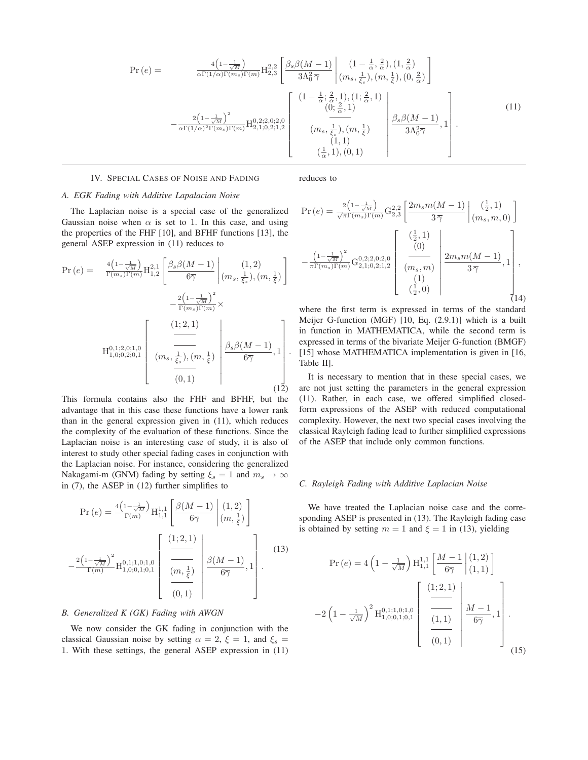$$
Pr(e) = \frac{4\left(1 - \frac{1}{\sqrt{M}}\right)}{\alpha \Gamma(1/\alpha) \Gamma(m_s) \Gamma(m)} H_{2,3}^{2,2} \left[ \frac{\beta_s \beta(M-1)}{3\Lambda_0^2 \overline{\gamma}} \left| \frac{(1 - \frac{1}{\alpha}, \frac{2}{\alpha}), (1, \frac{2}{\alpha})}{(m_s, \frac{1}{\xi_s}), (m, \frac{1}{\xi}), (0, \frac{2}{\alpha})} \right| \right] - \frac{2\left(1 - \frac{1}{\sqrt{M}}\right)^2}{\alpha \Gamma(1/\alpha)^2 \Gamma(m_s) \Gamma(m)} H_{2,1;0,2;1,2}^{0,2;2,0;2,0} \left[ \frac{(1 - \frac{1}{\alpha}; \frac{2}{\alpha}, 1), (1; \frac{2}{\alpha}, 1)}{(0; \frac{2}{\alpha}, 1)} \left| \frac{\beta_s \beta(M-1)}{3\Lambda_0^2 \overline{\gamma}} \right|, 1 \right] - \frac{2\left(1 - \frac{1}{\sqrt{M}}\right)^2}{\alpha \Gamma(1/\alpha)^2 \Gamma(m_s) \Gamma(m)} H_{2,1;0,2;1,2}^{0,2;2,0;2,0} \left[ \frac{(m_s, \frac{1}{\xi_s}), (m, \frac{1}{\xi})}{(1,1)}, \frac{\beta_s \beta(M-1)}{3\Lambda_0^2 \overline{\gamma}} \right],
$$
(11)

#### IV. SPECIAL CASES OF NOISE AND FADING

reduces to

# *A. EGK Fading with Additive Lapalacian Noise*

The Laplacian noise is a special case of the generalized Gaussian noise when  $\alpha$  is set to 1. In this case, and using the properties of the FHF [10], and BFHF functions [13], the general ASEP expression in (11) reduces to

$$
Pr(e) = \frac{4\left(1 - \frac{1}{\sqrt{M}}\right)}{\Gamma(m_s)\Gamma(m)} H_{1,2}^{2,1} \left[ \frac{\beta_s \beta(M-1)}{6\overline{\gamma}} \middle| \left(m_s, \frac{1}{\xi_s}\right), \left(m, \frac{1}{\xi}\right) \right] - \frac{2\left(1 - \frac{1}{\sqrt{M}}\right)^2}{\Gamma(m_s)\Gamma(m)} \times H_{1,0;0,2;0,1}^{0,1;2,0;1,0} \left[ \frac{\left(1;2,1\right)}{\left(m_s, \frac{1}{\xi_s}\right), \left(m, \frac{1}{\xi}\right)} \middle| \frac{\beta_s \beta(M-1)}{6\overline{\gamma}}, 1 \right].
$$
\n(12)

This formula contains also the FHF and BFHF, but the advantage that in this case these functions have a lower rank than in the general expression given in (11), which reduces the complexity of the evaluation of these functions. Since the Laplacian noise is an interesting case of study, it is also of interest to study other special fading cases in conjunction with the Laplacian noise. For instance, considering the generalized Nakagami-m (GNM) fading by setting  $\xi_s = 1$  and  $m_s \to \infty$ in (7), the ASEP in (12) further simplifies to

$$
\Pr(e) = \frac{4\left(1 - \frac{1}{\sqrt{M}}\right)}{\Gamma(m)} H_{1,1}^{1,1} \left[ \frac{\beta(M-1)}{6\overline{\gamma}} \middle| \begin{array}{l} (1,2) \\ (m,\frac{1}{\xi}) \end{array} \right]
$$

$$
- \frac{2\left(1 - \frac{1}{\sqrt{M}}\right)^2}{\Gamma(m)} H_{1,0;0,1;0,1}^{0,1;1,0;1,0} \left[ \frac{\frac{(1;2,1)}{2}}{\frac{(m,\frac{1}{\xi})}{\zeta}} \middle| \frac{\beta(M-1)}{6\overline{\gamma}}, 1 \right]. \tag{13}
$$

## *B. Generalized K (GK) Fading with AWGN*

We now consider the GK fading in conjunction with the classical Gaussian noise by setting  $\alpha = 2$ ,  $\xi = 1$ , and  $\xi_s =$ 1. With these settings, the general ASEP expression in (11)

$$
\Pr(e) = \frac{2\left(1 - \frac{1}{\sqrt{M}}\right)}{\sqrt{\pi}\Gamma(m_s)\Gamma(m)} G_{2,3}^{2,2} \left[\frac{2m_s m(M-1)}{3\overline{\gamma}} \bigg|_{(m_s, m, 0)}^{(\frac{1}{2}, 1)}\right] - \frac{\left(1 - \frac{1}{\sqrt{M}}\right)^2}{\pi\Gamma(m_s)\Gamma(m)} G_{2,1;0,2;1,2}^{0,2;2,0;2,0} \left[\begin{array}{c} (\frac{1}{2}, 1) \\ (0) \\ (0) \\ (m_s, m) \\ (1) \\ (\frac{1}{2}, 0) \end{array}\right] \frac{2m_s m(M-1)}{3\overline{\gamma}}, 1\right],
$$
\n(14)

where the first term is expressed in terms of the standard Meijer G-function (MGF) [10, Eq. (2.9.1)] which is a built in function in MATHEMATICA, while the second term is expressed in terms of the bivariate Meijer G-function (BMGF) [15] whose MATHEMATICA implementation is given in [16, Table II].

It is necessary to mention that in these special cases, we are not just setting the parameters in the general expression (11). Rather, in each case, we offered simplified closedform expressions of the ASEP with reduced computational complexity. However, the next two special cases involving the classical Rayleigh fading lead to further simplified expressions of the ASEP that include only common functions.

#### *C. Rayleigh Fading with Additive Laplacian Noise*

We have treated the Laplacian noise case and the corresponding ASEP is presented in (13). The Rayleigh fading case is obtained by setting  $m = 1$  and  $\xi = 1$  in (13), yielding

$$
\Pr(e) = 4\left(1 - \frac{1}{\sqrt{M}}\right) H_{1,1}^{1,1} \left[\frac{M-1}{6\overline{\gamma}} \middle| (1, 2) \atop (1, 1) \right]
$$

$$
-2\left(1 - \frac{1}{\sqrt{M}}\right)^2 H_{1,0;0,1;0,1}^{0,1;1,0;1,0} \left[\begin{array}{c} \left(1;2,1\right) \\ \frac{1}{\sqrt{M}} \end{array} \middle| \begin{array}{c} M-1 \\ \frac{M-1}{6\overline{\gamma}} \\ & (0, 1) \end{array} \right].
$$
 (15)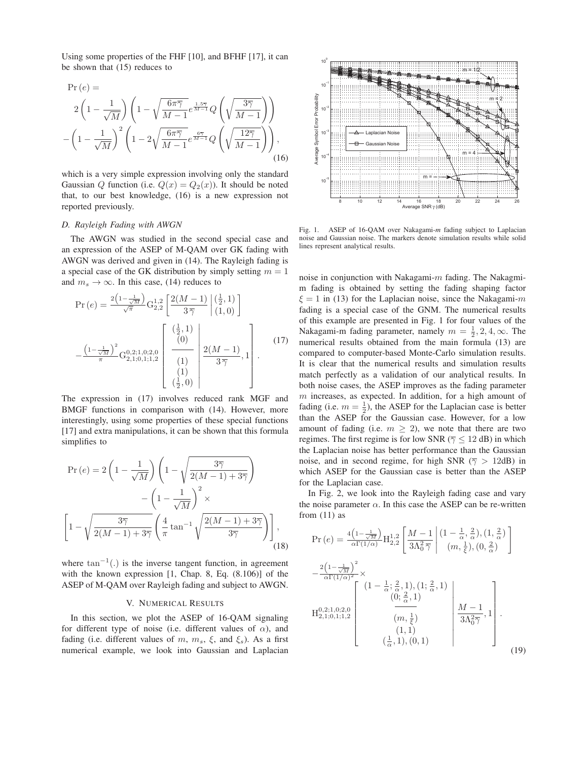Using some properties of the FHF [10], and BFHF [17], it can be shown that (15) reduces to

$$
\Pr(e) =
$$
\n
$$
2\left(1 - \frac{1}{\sqrt{M}}\right)\left(1 - \sqrt{\frac{6\pi\overline{\gamma}}{M-1}}e^{\frac{1.5\overline{\gamma}}{M-1}}Q\left(\sqrt{\frac{3\overline{\gamma}}{M-1}}\right)\right)
$$
\n
$$
-\left(1 - \frac{1}{\sqrt{M}}\right)^{2}\left(1 - 2\sqrt{\frac{6\pi\overline{\gamma}}{M-1}}e^{\frac{6\overline{\gamma}}{M-1}}Q\left(\sqrt{\frac{12\overline{\gamma}}{M-1}}\right)\right),\tag{16}
$$

which is a very simple expression involving only the standard Gaussian Q function (i.e.  $Q(x) = Q_2(x)$ ). It should be noted that, to our best knowledge, (16) is a new expression not reported previously.

#### *D. Rayleigh Fading with AWGN*

The AWGN was studied in the second special case and an expression of the ASEP of M-QAM over GK fading with AWGN was derived and given in (14). The Rayleigh fading is a special case of the GK distribution by simply setting  $m = 1$ and  $m_s \to \infty$ . In this case, (14) reduces to

$$
\Pr(e) = \frac{2\left(1 - \frac{1}{\sqrt{M}}\right)}{\sqrt{\pi}} G_{2,2}^{1,2} \left[ \frac{2(M-1)}{3\,\overline{\gamma}} \Big| \begin{array}{c} \left(\frac{1}{2}, 1\right) \\ \left(1, 0\right) \end{array} \right] \n- \frac{\left(1 - \frac{1}{\sqrt{M}}\right)^2}{\pi} G_{2,1;0,1;1,2}^{0,2;1,0;2,0} \left[ \begin{array}{c} \left(\frac{1}{2}, 1\right) \\ \left(0\right) \\ \left(1\right) \\ \left(1\right) \\ \left(\frac{1}{2}, 0\right) \end{array} \right] \frac{2(M-1)}{3\,\overline{\gamma}}, 1 \right].
$$
\n(17)

The expression in (17) involves reduced rank MGF and BMGF functions in comparison with (14). However, more interestingly, using some properties of these special functions [17] and extra manipulations, it can be shown that this formula simplifies to

$$
\Pr(e) = 2\left(1 - \frac{1}{\sqrt{M}}\right)\left(1 - \sqrt{\frac{3\overline{\gamma}}{2(M-1) + 3\overline{\gamma}}}\right)
$$

$$
-\left(1 - \frac{1}{\sqrt{M}}\right)^2 \times
$$

$$
\left[1 - \sqrt{\frac{3\overline{\gamma}}{2(M-1) + 3\overline{\gamma}}}\left(\frac{4}{\pi}\tan^{-1}\sqrt{\frac{2(M-1) + 3\overline{\gamma}}{3\overline{\gamma}}}\right)\right],
$$
(18)

where  $\tan^{-1}(.)$  is the inverse tangent function, in agreement with the known expression [1, Chap. 8, Eq. (8.106)] of the ASEP of M-QAM over Rayleigh fading and subject to AWGN.

## V. NUMERICAL RESULTS

In this section, we plot the ASEP of 16-QAM signaling for different type of noise (i.e. different values of  $\alpha$ ), and fading (i.e. different values of m,  $m_s$ ,  $\xi$ , and  $\xi_s$ ). As a first numerical example, we look into Gaussian and Laplacian



Fig. 1. ASEP of 16-QAM over Nakagami-*m* fading subject to Laplacian noise and Gaussian noise. The markers denote simulation results while solid lines represent analytical results.

noise in conjunction with Nakagami- $m$  fading. The Nakagmim fading is obtained by setting the fading shaping factor  $\xi = 1$  in (13) for the Laplacian noise, since the Nakagami- $m$ fading is a special case of the GNM. The numerical results of this example are presented in Fig. 1 for four values of the Nakagami-m fading parameter, namely  $m = \frac{1}{2}, 2, 4, \infty$ . The numerical results obtained from the main formula (13) are compared to computer-based Monte-Carlo simulation results. It is clear that the numerical results and simulation results match perfectly as a validation of our analytical results. In both noise cases, the ASEP improves as the fading parameter  $m$  increases, as expected. In addition, for a high amount of fading (i.e.  $m = \frac{1}{2}$ ), the ASEP for the Laplacian case is better than the ASEP for the Gaussian case. However, for a low amount of fading (i.e.  $m \geq 2$ ), we note that there are two regimes. The first regime is for low SNR ( $\overline{\gamma} \le 12$  dB) in which the Laplacian noise has better performance than the Gaussian noise, and in second regime, for high SNR ( $\overline{\gamma} > 12$ dB) in which ASEP for the Gaussian case is better than the ASEP for the Laplacian case.

In Fig. 2, we look into the Rayleigh fading case and vary the noise parameter  $\alpha$ . In this case the ASEP can be re-written from  $(11)$  as

$$
\Pr(e) = \frac{4\left(1 - \frac{1}{\sqrt{M}}\right)}{\alpha \Gamma(1/\alpha)} H_{2,2}^{1,2} \left[ \frac{M-1}{3\Lambda_0^2 \overline{\gamma}} \middle| \begin{array}{l} \left(1 - \frac{1}{\alpha}, \frac{2}{\alpha}\right), \left(1, \frac{2}{\alpha}\right) \\ \left(m, \frac{1}{\xi}\right), \left(0, \frac{2}{\alpha}\right) \end{array} \right]
$$

$$
-\frac{2\left(1 - \frac{1}{\sqrt{M}}\right)^2}{\alpha \Gamma(1/\alpha)^2} \times
$$

$$
H_{2,1;0,1;1,2}^{0,2;1,0;2,0} \left[ \begin{array}{c} \left(1 - \frac{1}{\alpha}; \frac{2}{\alpha}, 1\right), \left(1; \frac{2}{\alpha}, 1\right) \\ \left(0; \frac{2}{\alpha}, 1\right) \\ \left(m, \frac{1}{\xi}\right) \\ \left(m, \frac{1}{\xi}\right) \end{array} \right] \frac{M-1}{3\Lambda_0^2 \overline{\gamma}}, 1 \right].
$$

$$
(1,1)
$$

$$
\left[\begin{array}{c} \frac{M-1}{3\Lambda_0^2 \overline{\gamma}}, 1 \\ \left(1, 1\right) \\ \left(\frac{1}{\alpha}, 1\right), \left(0, 1\right) \end{array} \right] \tag{19}
$$